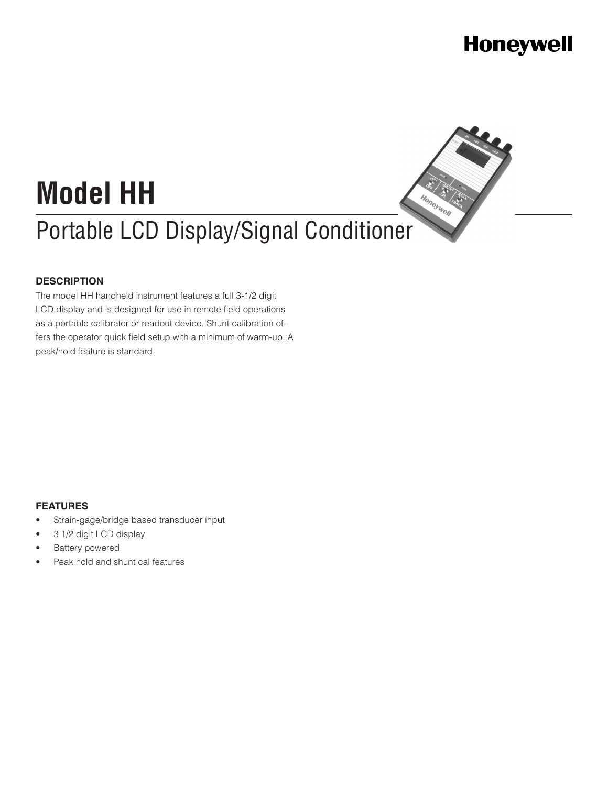### **Honeywell**

Honeywell

# **Model HH** Portable LCD Display/Signal Conditioner

#### **DESCRIPTION**

The model HH handheld instrument features a full 3-1/2 digit LCD display and is designed for use in remote field operations as a portable calibrator or readout device. Shunt calibration offers the operator quick field setup with a minimum of warm-up. A peak/hold feature is standard.

#### **FEATURES**

- Strain-gage/bridge based transducer input
- 3 1/2 digit LCD display
- **Battery powered**
- Peak hold and shunt cal features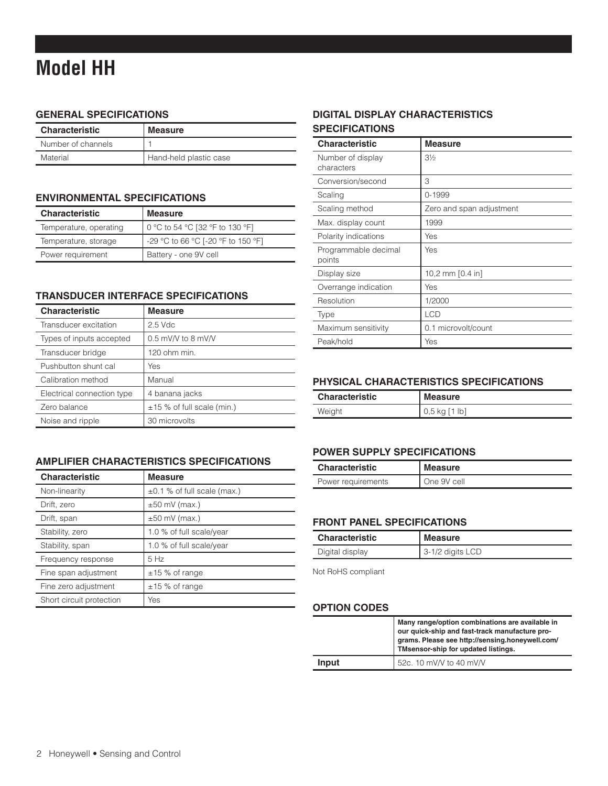### **Model HH**

#### **General SPECIFICATIONS**

| <b>Characteristic</b> | <b>Measure</b>         |
|-----------------------|------------------------|
| Number of channels    |                        |
| Material              | Hand-held plastic case |

#### **ENVIRONMENTAL SPECIFICATIONS**

| <b>Characteristic</b>  | <b>Measure</b>                     |
|------------------------|------------------------------------|
| Temperature, operating | 0 °C to 54 °C [32 °F to 130 °F]    |
| Temperature, storage   | -29 °C to 66 °C [-20 °F to 150 °F] |
| Power requirement      | Battery - one 9V cell              |

#### **Transducer interface SPECIFICATIONS**

| <b>Characteristic</b>      | <b>Measure</b>               |
|----------------------------|------------------------------|
| Transducer excitation      | $2.5$ Vdc                    |
| Types of inputs accepted   | $0.5$ mV/V to 8 mV/V         |
| Transducer bridge          | 120 ohm min.                 |
| Pushbutton shunt cal       | Yes                          |
| Calibration method         | Manual                       |
| Electrical connection type | 4 banana jacks               |
| Zero balance               | $±15$ % of full scale (min.) |
| Noise and ripple           | 30 microvolts                |

#### **Amplifier characteristics SPECIFICATIONS**

| <b>Characteristic</b>    | <b>Measure</b>                   |
|--------------------------|----------------------------------|
| Non-linearity            | $\pm 0.1$ % of full scale (max.) |
| Drift, zero              | $\pm 50$ mV (max.)               |
| Drift, span              | $±50$ mV (max.)                  |
| Stability, zero          | 1.0 % of full scale/year         |
| Stability, span          | 1.0 % of full scale/year         |
| Frequency response       | 5 Hz                             |
| Fine span adjustment     | $±15$ % of range                 |
| Fine zero adjustment     | $±15$ % of range                 |
| Short circuit protection | Yes                              |

#### **Digital display characteristics SPECIFICATIONS**

| <b>Characteristic</b>           | <b>Measure</b>             |
|---------------------------------|----------------------------|
| Number of display<br>characters | $3\frac{1}{2}$             |
| Conversion/second               | 3                          |
| Scaling                         | 0-1999                     |
| Scaling method                  | Zero and span adjustment   |
| Max. display count              | 1999                       |
| Polarity indications            | Yes                        |
| Programmable decimal<br>points  | Yes                        |
| Display size                    | 10,2 mm $[0.4 \text{ in}]$ |
| Overrange indication            | Yes                        |
| Resolution                      | 1/2000                     |
| Type                            | <b>LCD</b>                 |
| Maximum sensitivity             | 0.1 microvolt/count        |
| Peak/hold                       | Yes                        |

#### **Physical characteristics SPECIFICATIONS**

| <b>Characteristic</b> | Measure           |
|-----------------------|-------------------|
| Weight                | $0,5$ kg $[1$ lb] |

#### **Power supply SPECIFICATIONS**

| <b>Characteristic</b> | Measure     |
|-----------------------|-------------|
| Power requirements    | One 9V cell |

#### **Front panel SPECIFICATIONS**

| <b>Characteristic</b> | <b>Measure</b>     |
|-----------------------|--------------------|
| Digital display       | $3-1/2$ digits LCD |

Not RoHS compliant

#### **OPTION CODES**

|       | Many range/option combinations are available in<br>our quick-ship and fast-track manufacture pro-<br>grams. Please see http://sensing.honeywell.com/<br>TMsensor-ship for updated listings. |
|-------|---------------------------------------------------------------------------------------------------------------------------------------------------------------------------------------------|
| Input | 52c. 10 mV/V to 40 mV/V                                                                                                                                                                     |